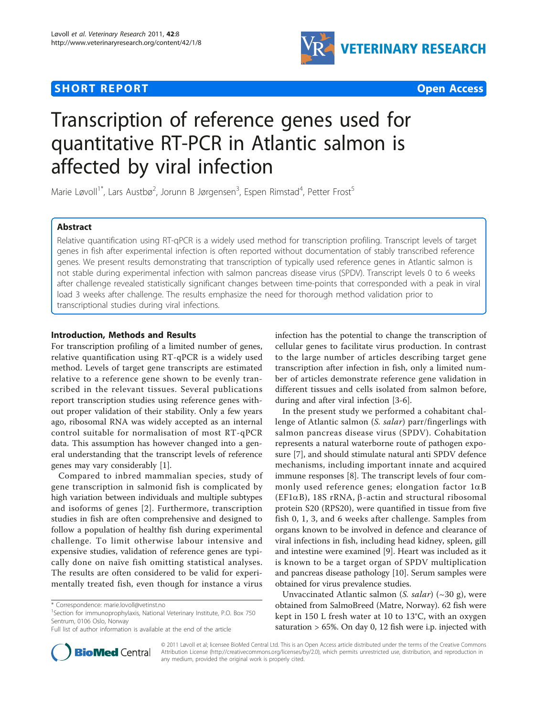## **SHORT REPORT SHORT CONSUMING THE SHORT CONSUMING THE SHORT CONSUMING THE SHORT CONSUMING THE SHORT CONSUMING THE SHORT CONSUMING THE SHORT CONSUMING THE SHORT CONSUMING THE SHORT CONSUMING THE SHORT CONSUMING THE SHORT**



# Transcription of reference genes used for quantitative RT-PCR in Atlantic salmon is affected by viral infection

Marie Løvoll<sup>1\*</sup>, Lars Austbø<sup>2</sup>, Jorunn B Jørgensen<sup>3</sup>, Espen Rimstad<sup>4</sup>, Petter Frost<sup>5</sup>

## Abstract

Relative quantification using RT-qPCR is a widely used method for transcription profiling. Transcript levels of target genes in fish after experimental infection is often reported without documentation of stably transcribed reference genes. We present results demonstrating that transcription of typically used reference genes in Atlantic salmon is not stable during experimental infection with salmon pancreas disease virus (SPDV). Transcript levels 0 to 6 weeks after challenge revealed statistically significant changes between time-points that corresponded with a peak in viral load 3 weeks after challenge. The results emphasize the need for thorough method validation prior to transcriptional studies during viral infections.

## Introduction, Methods and Results

For transcription profiling of a limited number of genes, relative quantification using RT-qPCR is a widely used method. Levels of target gene transcripts are estimated relative to a reference gene shown to be evenly transcribed in the relevant tissues. Several publications report transcription studies using reference genes without proper validation of their stability. Only a few years ago, ribosomal RNA was widely accepted as an internal control suitable for normalisation of most RT-qPCR data. This assumption has however changed into a general understanding that the transcript levels of reference genes may vary considerably [[1\]](#page-4-0).

Compared to inbred mammalian species, study of gene transcription in salmonid fish is complicated by high variation between individuals and multiple subtypes and isoforms of genes [[2\]](#page-4-0). Furthermore, transcription studies in fish are often comprehensive and designed to follow a population of healthy fish during experimental challenge. To limit otherwise labour intensive and expensive studies, validation of reference genes are typically done on naïve fish omitting statistical analyses. The results are often considered to be valid for experimentally treated fish, even though for instance a virus



In the present study we performed a cohabitant challenge of Atlantic salmon (S. salar) parr/fingerlings with salmon pancreas disease virus (SPDV). Cohabitation represents a natural waterborne route of pathogen exposure [[7\]](#page-4-0), and should stimulate natural anti SPDV defence mechanisms, including important innate and acquired immune responses [\[8](#page-4-0)]. The transcript levels of four commonly used reference genes; elongation factor  $1\alpha B$ (EF1 $\alpha$ B), 18S rRNA,  $\beta$ -actin and structural ribosomal protein S20 (RPS20), were quantified in tissue from five fish 0, 1, 3, and 6 weeks after challenge. Samples from organs known to be involved in defence and clearance of viral infections in fish, including head kidney, spleen, gill and intestine were examined [\[9](#page-4-0)]. Heart was included as it is known to be a target organ of SPDV multiplication and pancreas disease pathology [\[10](#page-4-0)]. Serum samples were obtained for virus prevalence studies.

Unvaccinated Atlantic salmon (S. salar)  $(\sim 30 \text{ g})$ , were obtained from SalmoBreed (Matre, Norway). 62 fish were kept in 150 L fresh water at 10 to 13°C, with an oxygen saturation > 65%. On day 0, 12 fish were i.p. injected with



© 2011 Løvoll et al; licensee BioMed Central Ltd. This is an Open Access article distributed under the terms of the Creative Commons Attribution License [\(http://creativecommons.org/licenses/by/2.0](http://creativecommons.org/licenses/by/2.0)), which permits unrestricted use, distribution, and reproduction in any medium, provided the original work is properly cited.

<sup>\*</sup> Correspondence: [marie.lovoll@vetinst.no](mailto:marie.lovoll@vetinst.no)

<sup>&</sup>lt;sup>1</sup>Section for immunoprophylaxis, National Veterinary Institute, P.O. Box 750 Sentrum, 0106 Oslo, Norway

Full list of author information is available at the end of the article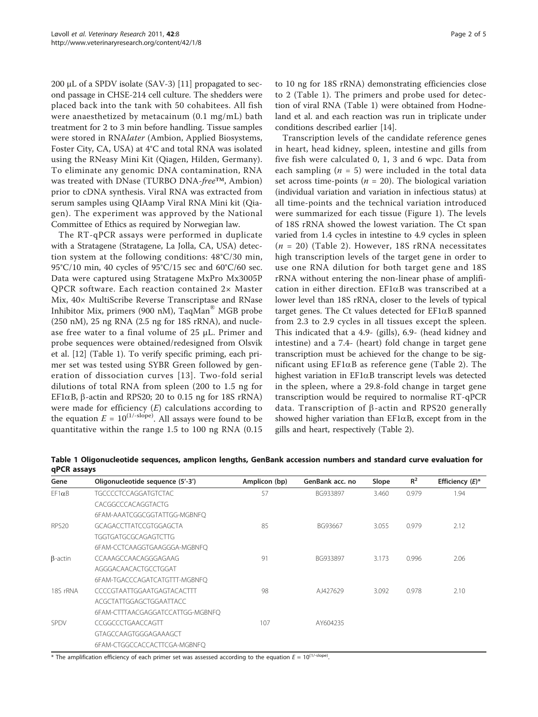200  $\mu$ L of a SPDV isolate (SAV-3) [[11\]](#page-4-0) propagated to second passage in CHSE-214 cell culture. The shedders were placed back into the tank with 50 cohabitees. All fish were anaesthetized by metacainum (0.1 mg/mL) bath treatment for 2 to 3 min before handling. Tissue samples were stored in RNAlater (Ambion, Applied Biosystems, Foster City, CA, USA) at 4°C and total RNA was isolated using the RNeasy Mini Kit (Qiagen, Hilden, Germany). To eliminate any genomic DNA contamination, RNA was treated with DNase (TURBO DNA-free™, Ambion) prior to cDNA synthesis. Viral RNA was extracted from serum samples using QIAamp Viral RNA Mini kit (Qiagen). The experiment was approved by the National Committee of Ethics as required by Norwegian law.

The RT-qPCR assays were performed in duplicate with a Stratagene (Stratagene, La Jolla, CA, USA) detection system at the following conditions: 48°C/30 min, 95°C/10 min, 40 cycles of 95°C/15 sec and 60°C/60 sec. Data were captured using Stratagene MxPro Mx3005P QPCR software. Each reaction contained 2× Master Mix, 40× MultiScribe Reverse Transcriptase and RNase Inhibitor Mix, primers (900 nM), TaqMan® MGB probe (250 nM), 25 ng RNA (2.5 ng for 18S rRNA), and nuclease free water to a final volume of 25 μL. Primer and probe sequences were obtained/redesigned from Olsvik et al. [\[12\]](#page-4-0) (Table 1). To verify specific priming, each primer set was tested using SYBR Green followed by generation of dissociation curves [[13\]](#page-4-0). Two-fold serial dilutions of total RNA from spleen (200 to 1.5 ng for EF1 $\alpha$ B,  $\beta$ -actin and RPS20; 20 to 0.15 ng for 18S rRNA) were made for efficiency  $(E)$  calculations according to the equation  $E = 10^{(1/\text{-slope})}$ . All assays were found to be quantitative within the range 1.5 to 100 ng RNA (0.15

to 10 ng for 18S rRNA) demonstrating efficiencies close to 2 (Table 1). The primers and probe used for detection of viral RNA (Table 1) were obtained from Hodneland et al. and each reaction was run in triplicate under conditions described earlier [\[14\]](#page-4-0).

Transcription levels of the candidate reference genes in heart, head kidney, spleen, intestine and gills from five fish were calculated 0, 1, 3 and 6 wpc. Data from each sampling ( $n = 5$ ) were included in the total data set across time-points ( $n = 20$ ). The biological variation (individual variation and variation in infectious status) at all time-points and the technical variation introduced were summarized for each tissue (Figure [1\)](#page-2-0). The levels of 18S rRNA showed the lowest variation. The Ct span varied from 1.4 cycles in intestine to 4.9 cycles in spleen  $(n = 20)$  (Table [2\)](#page-2-0). However, 18S rRNA necessitates high transcription levels of the target gene in order to use one RNA dilution for both target gene and 18S rRNA without entering the non-linear phase of amplification in either direction. EF1 $\alpha$ B was transcribed at a lower level than 18S rRNA, closer to the levels of typical target genes. The Ct values detected for  $EFAB$  spanned from 2.3 to 2.9 cycles in all tissues except the spleen. This indicated that a 4.9- (gills), 6.9- (head kidney and intestine) and a 7.4- (heart) fold change in target gene transcription must be achieved for the change to be significant using  $EFAB$  as reference gene (Table [2\)](#page-2-0). The highest variation in EF1aB transcript levels was detected in the spleen, where a 29.8-fold change in target gene transcription would be required to normalise RT-qPCR data. Transcription of  $\beta$ -actin and RPS20 generally showed higher variation than  $EFi\alpha B$ , except from in the gills and heart, respectively (Table [2](#page-2-0)).

Table 1 Oligonucleotide sequences, amplicon lengths, GenBank accession numbers and standard curve evaluation for qPCR assays

| Gene              | Oligonucleotide sequence (5'-3') | Amplicon (bp) | GenBank acc. no | Slope | $R^2$ | Efficiency $(E)^*$ |
|-------------------|----------------------------------|---------------|-----------------|-------|-------|--------------------|
| $EF1\alpha B$     | <b>TGCCCCTCCAGGATGTCTAC</b>      | 57            | BG933897        | 3.460 | 0.979 | 1.94               |
|                   | CACGGCCCACAGGTACTG               |               |                 |       |       |                    |
|                   | 6FAM-AAATCGGCGGTATTGG-MGBNFO     |               |                 |       |       |                    |
| RPS <sub>20</sub> | GCAGACCTTATCCGTGGAGCTA           | 85            | BG93667         | 3.055 | 0.979 | 2.12               |
|                   | <b>TGGTGATGCGCAGAGTCTTG</b>      |               |                 |       |       |                    |
|                   | 6FAM-CCTCAAGGTGAAGGGA-MGBNFO     |               |                 |       |       |                    |
| $\beta$ -actin    | CCAAAGCCAACAGGGAGAAG             | 91            | BG933897        | 3.173 | 0.996 | 2.06               |
|                   | AGGGACAACACTGCCTGGAT             |               |                 |       |       |                    |
|                   | 6FAM-TGACCCAGATCATGTTT-MGBNFQ    |               |                 |       |       |                    |
| 18S rRNA          | CCCCGTAATTGGAATGAGTACACTTT       | 98            | AJ427629        | 3.092 | 0.978 | 2.10               |
|                   | ACGCTATTGGAGCTGGAATTACC          |               |                 |       |       |                    |
|                   | 6FAM-CTTTAACGAGGATCCATTGG-MGBNFO |               |                 |       |       |                    |
| <b>SPDV</b>       | CCGGCCCTGAACCAGTT                | 107           | AY604235        |       |       |                    |
|                   | GTAGCCAAGTGGGAGAAAGCT            |               |                 |       |       |                    |
|                   | 6FAM-CTGGCCACCACTTCGA-MGBNFO     |               |                 |       |       |                    |

\* The amplification efficiency of each primer set was assessed according to the equation  $E = 10^{(1/\text{-slope})}$ .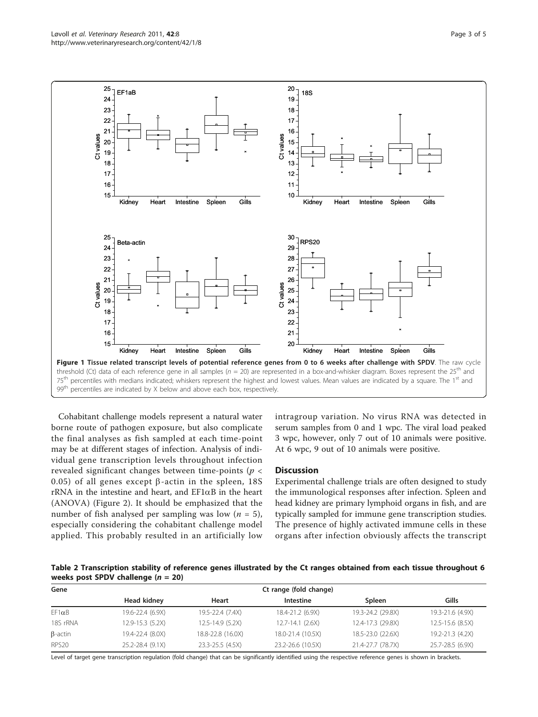<span id="page-2-0"></span>

Cohabitant challenge models represent a natural water borne route of pathogen exposure, but also complicate the final analyses as fish sampled at each time-point may be at different stages of infection. Analysis of individual gene transcription levels throughout infection revealed significant changes between time-points ( $p <$ 0.05) of all genes except  $\beta$ -actin in the spleen, 18S rRNA in the intestine and heart, and  $EFAB$  in the heart (ANOVA) (Figure [2](#page-3-0)). It should be emphasized that the number of fish analysed per sampling was low  $(n = 5)$ , especially considering the cohabitant challenge model applied. This probably resulted in an artificially low intragroup variation. No virus RNA was detected in serum samples from 0 and 1 wpc. The viral load peaked 3 wpc, however, only 7 out of 10 animals were positive. At 6 wpc, 9 out of 10 animals were positive.

### **Discussion**

Experimental challenge trials are often designed to study the immunological responses after infection. Spleen and head kidney are primary lymphoid organs in fish, and are typically sampled for immune gene transcription studies. The presence of highly activated immune cells in these organs after infection obviously affects the transcript

Table 2 Transcription stability of reference genes illustrated by the Ct ranges obtained from each tissue throughout 6 weeks post SPDV challenge  $(n = 20)$ 

| Gene              | Ct range (fold change) |                   |                      |                   |                      |  |  |  |
|-------------------|------------------------|-------------------|----------------------|-------------------|----------------------|--|--|--|
|                   | Head kidney            | Heart             | Intestine            | Spleen            | Gills                |  |  |  |
| $EF1\alpha B$     | 19.6-22.4 (6.9X)       | 19.5-22.4 (7.4X)  | 18.4-21.2 (6.9X)     | 19.3-24.2 (29.8X) | 19.3-21.6 (4.9X)     |  |  |  |
| 18S rRNA          | 12.9-15.3 (5.2X)       | 12.5-14.9 (5.2X)  | $12.7 - 14.1$ (2.6X) | 12.4-17.3 (29.8X) | $12.5 - 15.6$ (8.5X) |  |  |  |
| $\beta$ -actin    | 19.4-22.4 (8.0X)       | 18.8-22.8 (16.0X) | 18.0-21.4 (10.5X)    | 18.5-23.0 (22.6X) | 19.2-21.3 (4.2X)     |  |  |  |
| RPS <sub>20</sub> | 25.2-28.4 (9.1X)       | 23.3-25.5 (4.5X)  | 23.2-26.6 (10.5X)    | 21.4-27.7 (78.7X) | 25.7-28.5 (6.9X)     |  |  |  |

Level of target gene transcription regulation (fold change) that can be significantly identified using the respective reference genes is shown in brackets.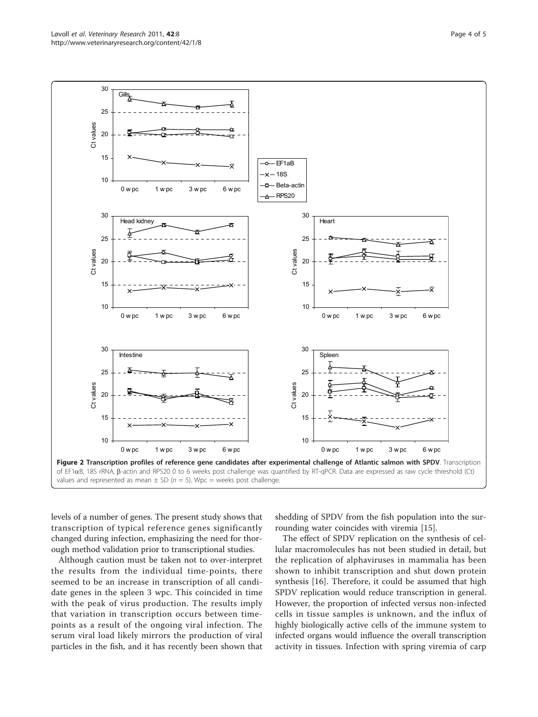<span id="page-3-0"></span>

levels of a number of genes. The present study shows that transcription of typical reference genes significantly changed during infection, emphasizing the need for thorough method validation prior to transcriptional studies.

Although caution must be taken not to over-interpret the results from the individual time-points, there seemed to be an increase in transcription of all candidate genes in the spleen 3 wpc. This coincided in time with the peak of virus production. The results imply that variation in transcription occurs between timepoints as a result of the ongoing viral infection. The serum viral load likely mirrors the production of viral particles in the fish, and it has recently been shown that

shedding of SPDV from the fish population into the surrounding water coincides with viremia [\[15](#page-4-0)].

The effect of SPDV replication on the synthesis of cellular macromolecules has not been studied in detail, but the replication of alphaviruses in mammalia has been shown to inhibit transcription and shut down protein synthesis [\[16](#page-4-0)]. Therefore, it could be assumed that high SPDV replication would reduce transcription in general. However, the proportion of infected versus non-infected cells in tissue samples is unknown, and the influx of highly biologically active cells of the immune system to infected organs would influence the overall transcription activity in tissues. Infection with spring viremia of carp